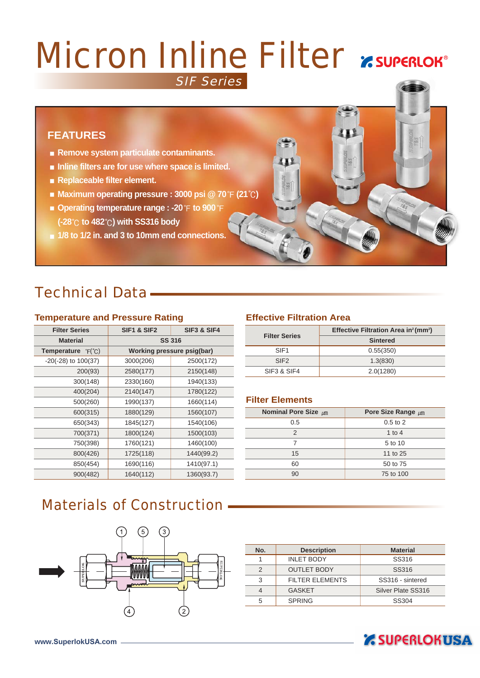# Micron Inline Filter **Engineer** SIF Series

### **FEATURES**

- **Remove system particulate contaminants.**
- **Inline filters are for use where space is limited.**
- **Replaceable filter element.**
- Maximum operating pressure : 3000 psi @ 70 °F (21 °C)
- **Operating temperature range : 20<sup>°</sup>F to 900<sup>°</sup>F (-28 to 482 ) with SS316 body**
- **1/8 to 1/2 in. and 3 to 10mm end connections.**

# Technical Data

#### **Temperature and Pressure Rating**

| <b>Filter Series</b>            | <b>SIF1 &amp; SIF2</b> | <b>SIF3 &amp; SIF4</b>     |  |  |  |  |
|---------------------------------|------------------------|----------------------------|--|--|--|--|
| <b>Material</b>                 | <b>SS 316</b>          |                            |  |  |  |  |
| <b>Temperature</b> $F(\hat{C})$ |                        | Working pressure psig(bar) |  |  |  |  |
| $-20(-28)$ to $100(37)$         | 3000(206)              | 2500(172)                  |  |  |  |  |
| 200(93)                         | 2580(177)              | 2150(148)                  |  |  |  |  |
| 300(148)                        | 2330(160)              | 1940(133)                  |  |  |  |  |
| 400(204)                        | 2140(147)              | 1780(122)                  |  |  |  |  |
| 500(260)                        | 1990(137)              | 1660(114)                  |  |  |  |  |
| 600(315)                        | 1880(129)              | 1560(107)                  |  |  |  |  |
| 650(343)                        | 1845(127)              | 1540(106)                  |  |  |  |  |
| 700(371)                        | 1800(124)              | 1500(103)                  |  |  |  |  |
| 750(398)                        | 1760(121)              | 1460(100)                  |  |  |  |  |
| 800(426)                        | 1725(118)              | 1440(99.2)                 |  |  |  |  |
| 850(454)                        | 1690(116)              | 1410(97.1)                 |  |  |  |  |
| 900(482)                        | 1640(112)              | 1360(93.7)                 |  |  |  |  |

#### **Effective Filtration Area**

|                      | Effective Filtration Area in <sup>2</sup> (mm <sup>2</sup> ) |  |  |  |  |
|----------------------|--------------------------------------------------------------|--|--|--|--|
| <b>Filter Series</b> | <b>Sintered</b>                                              |  |  |  |  |
| SIF <sub>1</sub>     | 0.55(350)                                                    |  |  |  |  |
| SIF <sub>2</sub>     | 1.3(830)                                                     |  |  |  |  |
| SIF3 & SIF4          | 2.0(1280)                                                    |  |  |  |  |

#### **Filter Elements**

| Nominal Pore Size $\mu$ m | Pore Size Range $\mu$ m |
|---------------------------|-------------------------|
| 0.5                       | $0.5$ to $2$            |
| 2                         | 1 to 4                  |
| 7                         | 5 to 10                 |
| 15                        | 11 to 25                |
| 60                        | 50 to 75                |
| 90                        | 75 to 100               |

## Materials of Construction



| No. | <b>Description</b>     | <b>Material</b>    |
|-----|------------------------|--------------------|
|     | <b>INLET BODY</b>      | SS316              |
| 2   | <b>OUTLET BODY</b>     | SS316              |
| 3   | <b>FILTER ELEMENTS</b> | SS316 - sintered   |
|     | <b>GASKET</b>          | Silver Plate SS316 |
| 5   | <b>SPRING</b>          | SS304              |

**Z SUPERLOKUSA**